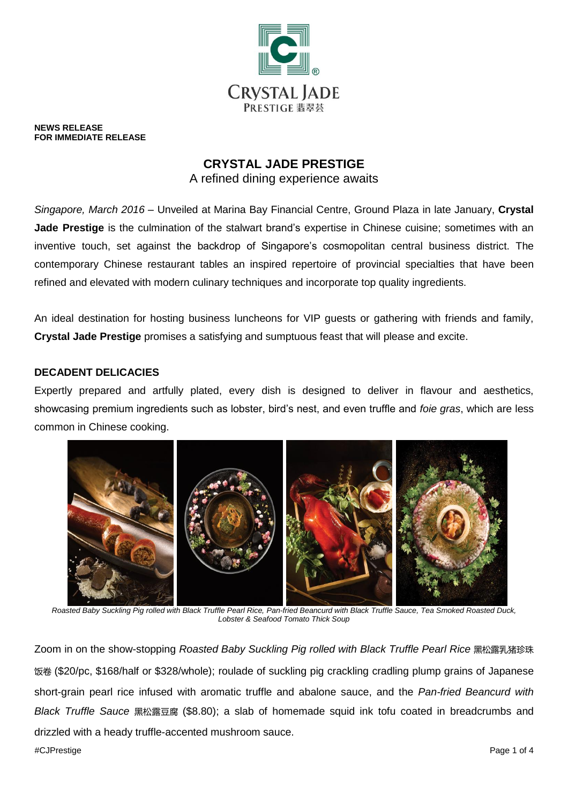

**NEWS RELEASE FOR IMMEDIATE RELEASE**

# **CRYSTAL JADE PRESTIGE**

A refined dining experience awaits

*Singapore, March 2016* – Unveiled at Marina Bay Financial Centre, Ground Plaza in late January, **Crystal Jade Prestige** is the culmination of the stalwart brand's expertise in Chinese cuisine; sometimes with an inventive touch, set against the backdrop of Singapore's cosmopolitan central business district. The contemporary Chinese restaurant tables an inspired repertoire of provincial specialties that have been refined and elevated with modern culinary techniques and incorporate top quality ingredients.

An ideal destination for hosting business luncheons for VIP guests or gathering with friends and family, **Crystal Jade Prestige** promises a satisfying and sumptuous feast that will please and excite.

# **DECADENT DELICACIES**

Expertly prepared and artfully plated, every dish is designed to deliver in flavour and aesthetics, showcasing premium ingredients such as lobster, bird's nest, and even truffle and *foie gras*, which are less common in Chinese cooking.



*Roasted Baby Suckling Pig rolled with Black Truffle Pearl Rice, Pan-fried Beancurd with Black Truffle Sauce, Tea Smoked Roasted Duck, Lobster & Seafood Tomato Thick Soup*

Zoom in on the show-stopping *Roasted Baby Suckling Pig rolled with Black Truffle Pearl Rice* 黑松露乳猪珍珠 饭卷 (\$20/pc, \$168/half or \$328/whole); roulade of suckling pig crackling cradling plump grains of Japanese short-grain pearl rice infused with aromatic truffle and abalone sauce, and the *Pan-fried Beancurd with Black Truffle Sauce* 黑松露豆腐 (\$8.80); a slab of homemade squid ink tofu coated in breadcrumbs and drizzled with a heady truffle-accented mushroom sauce.

#CJPrestige Page 1 of 4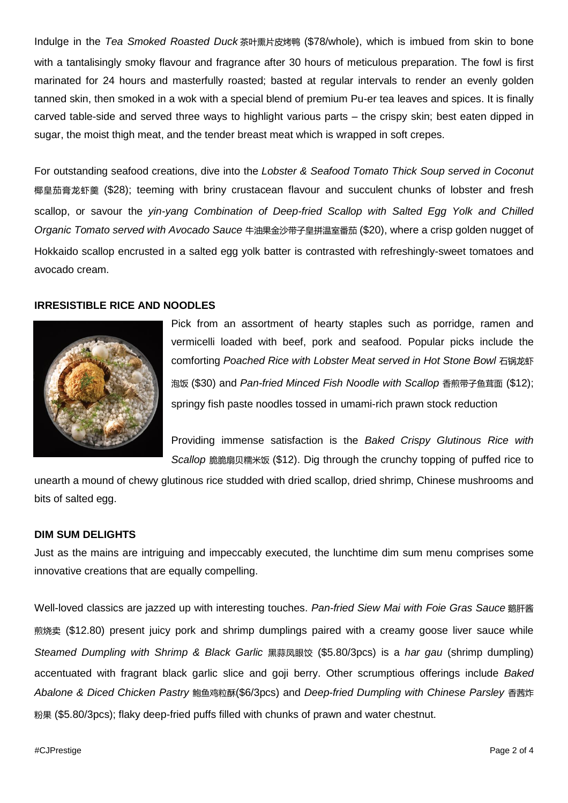Indulge in the *Tea Smoked Roasted Duck* 茶叶熏片皮烤鸭 (\$78/whole), which is imbued from skin to bone with a tantalisingly smoky flavour and fragrance after 30 hours of meticulous preparation. The fowl is first marinated for 24 hours and masterfully roasted; basted at regular intervals to render an evenly golden tanned skin, then smoked in a wok with a special blend of premium Pu-er tea leaves and spices. It is finally carved table-side and served three ways to highlight various parts – the crispy skin; best eaten dipped in sugar, the moist thigh meat, and the tender breast meat which is wrapped in soft crepes.

For outstanding seafood creations, dive into the *Lobster & Seafood Tomato Thick Soup served in Coconut* 椰皇茄膏龙虾羹 (\$28); teeming with briny crustacean flavour and succulent chunks of lobster and fresh scallop, or savour the *yin-yang Combination of Deep-fried Scallop with Salted Egg Yolk and Chilled Organic Tomato served with Avocado Sauce* 牛油果金沙带子皇拼温室番茄 (\$20), where a crisp golden nugget of Hokkaido scallop encrusted in a salted egg yolk batter is contrasted with refreshingly-sweet tomatoes and avocado cream.

### **IRRESISTIBLE RICE AND NOODLES**



Pick from an assortment of hearty staples such as porridge, ramen and vermicelli loaded with beef, pork and seafood. Popular picks include the comforting *Poached Rice with Lobster Meat served in Hot Stone Bowl* 石锅龙虾 泡饭 (\$30) and *Pan-fried Minced Fish Noodle with Scallop* 香煎带子鱼茸面 (\$12); springy fish paste noodles tossed in umami-rich prawn stock reduction

Providing immense satisfaction is the *Baked Crispy Glutinous Rice with Scallop* 脆脆扇贝糯米饭 (\$12). Dig through the crunchy topping of puffed rice to

unearth a mound of chewy glutinous rice studded with dried scallop, dried shrimp, Chinese mushrooms and bits of salted egg.

# **DIM SUM DELIGHTS**

Just as the mains are intriguing and impeccably executed, the lunchtime dim sum menu comprises some innovative creations that are equally compelling.

Well-loved classics are jazzed up with interesting touches. Pan-fried Siew Mai with Foie Gras Sauce 鹅肝酱 煎烧卖 (\$12.80) present juicy pork and shrimp dumplings paired with a creamy goose liver sauce while *Steamed Dumpling with Shrimp & Black Garlic* 黑蒜凤眼饺 (\$5.80/3pcs) is a *har gau* (shrimp dumpling) accentuated with fragrant black garlic slice and goji berry. Other scrumptious offerings include *Baked Abalone & Diced Chicken Pastry* 鲍鱼鸡粒酥(\$6/3pcs) and *Deep-fried Dumpling with Chinese Parsley* 香茜炸 粉果 (\$5.80/3pcs); flaky deep-fried puffs filled with chunks of prawn and water chestnut.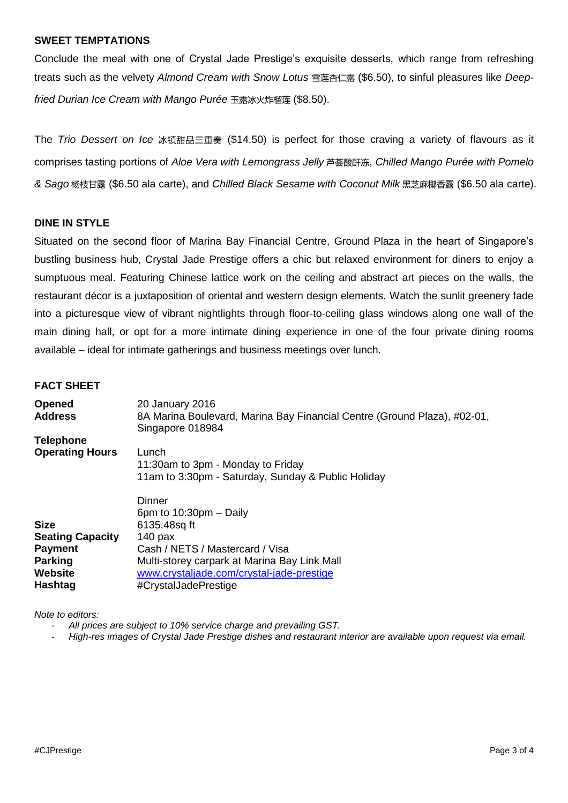## **SWEET TEMPTATIONS**

Conclude the meal with one of Crystal Jade Prestige's exquisite desserts, which range from refreshing treats such as the velvety *Almond Cream with Snow Lotus* 雪莲杏仁露 (\$6.50), to sinful pleasures like *Deepfried Durian Ice Cream with Mango Purée* 玉露冰火炸榴莲 (\$8.50).

The *Trio Dessert on Ice* 冰镇甜品三重奏 (\$14.50) is perfect for those craving a variety of flavours as it comprises tasting portions of *Aloe Vera with Lemongrass Jelly* 芦荟酸酐冻, *Chilled Mango Purée with Pomelo & Sago* 杨枝甘露 (\$6.50 ala carte), and *Chilled Black Sesame with Coconut Milk* 黑芝麻椰香露 (\$6.50 ala carte).

## **DINE IN STYLE**

Situated on the second floor of Marina Bay Financial Centre, Ground Plaza in the heart of Singapore's bustling business hub, Crystal Jade Prestige offers a chic but relaxed environment for diners to enjoy a sumptuous meal. Featuring Chinese lattice work on the ceiling and abstract art pieces on the walls, the restaurant décor is a juxtaposition of oriental and western design elements. Watch the sunlit greenery fade into a picturesque view of vibrant nightlights through floor-to-ceiling glass windows along one wall of the main dining hall, or opt for a more intimate dining experience in one of the four private dining rooms available – ideal for intimate gatherings and business meetings over lunch.

### **FACT SHEET**

| <b>Opened</b><br><b>Address</b>      | 20 January 2016<br>8A Marina Boulevard, Marina Bay Financial Centre (Ground Plaza), #02-01,<br>Singapore 018984   |
|--------------------------------------|-------------------------------------------------------------------------------------------------------------------|
| <b>Telephone</b>                     |                                                                                                                   |
| <b>Operating Hours</b>               | Lunch<br>11:30am to 3pm - Monday to Friday<br>11am to 3:30pm - Saturday, Sunday & Public Holiday                  |
|                                      | Dinner<br>6pm to $10:30$ pm $-$ Daily                                                                             |
| <b>Size</b>                          | 6135.48sq ft                                                                                                      |
| <b>Seating Capacity</b>              | $140$ pax                                                                                                         |
| <b>Payment</b>                       | Cash / NETS / Mastercard / Visa                                                                                   |
| <b>Parking</b><br>Website<br>Hashtag | Multi-storey carpark at Marina Bay Link Mall<br>www.crystaljade.com/crystal-jade-prestige<br>#CrystalJadePrestige |

*Note to editors:* 

- *All prices are subject to 10% service charge and prevailing GST.*
- *High-res images of Crystal Jade Prestige dishes and restaurant interior are available upon request via email.*